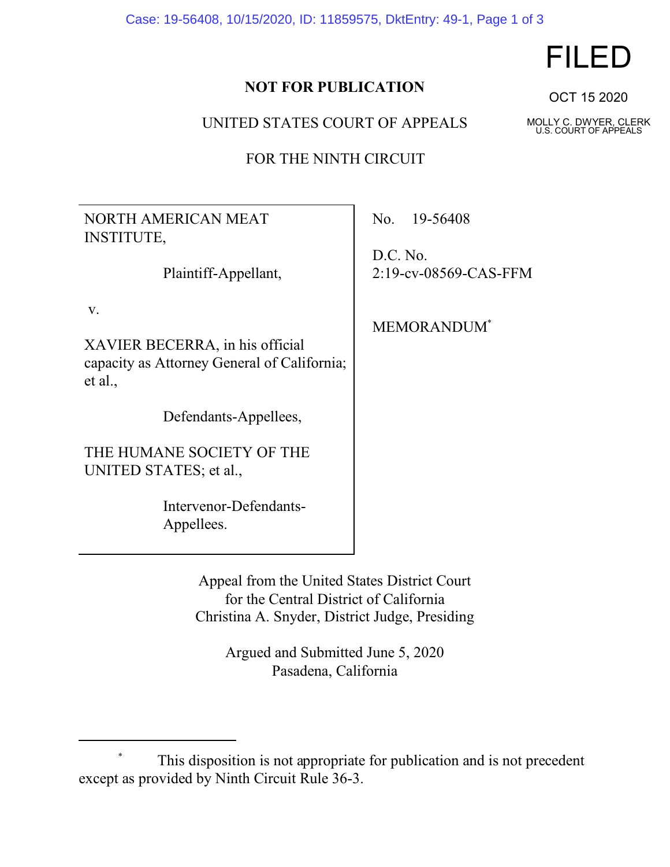Case: 19-56408, 10/15/2020, ID: 11859575, DktEntry: 49-1, Page 1 of 3

## **NOT FOR PUBLICATION**

UNITED STATES COURT OF APPEALS

FOR THE NINTH CIRCUIT

NORTH AMERICAN MEAT INSTITUTE,

Plaintiff-Appellant,

v.

XAVIER BECERRA, in his official capacity as Attorney General of California; et al.,

Defendants-Appellees,

THE HUMANE SOCIETY OF THE UNITED STATES; et al.,

> Intervenor-Defendants-Appellees.

No. 19-56408

D.C. No. 2:19-cv-08569-CAS-FFM

MEMORANDUM\*

Appeal from the United States District Court for the Central District of California Christina A. Snyder, District Judge, Presiding

> Argued and Submitted June 5, 2020 Pasadena, California

## FILED

OCT 15 2020

MOLLY C. DWYER, CLERK U.S. COURT OF APPEALS

This disposition is not appropriate for publication and is not precedent except as provided by Ninth Circuit Rule 36-3.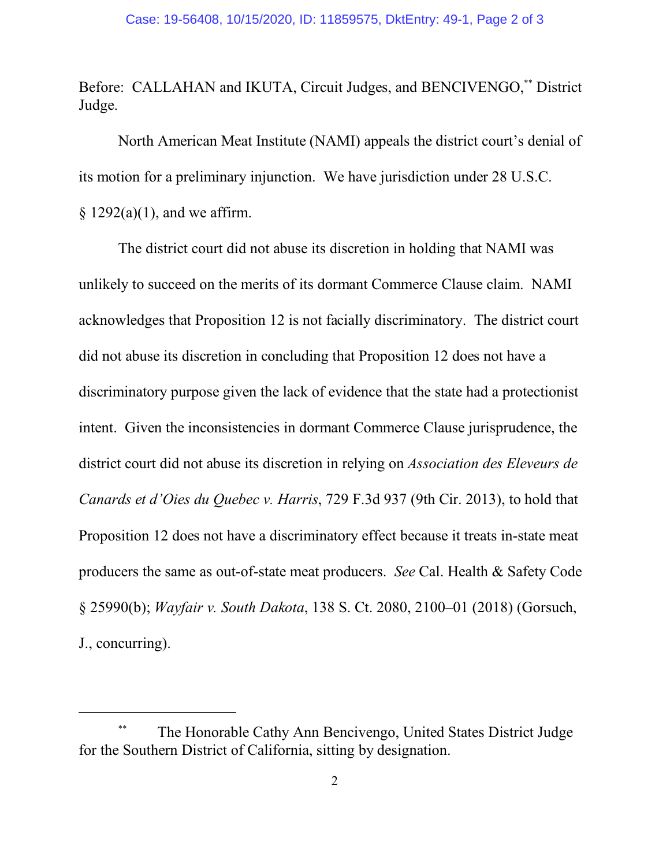Before: CALLAHAN and IKUTA, Circuit Judges, and BENCIVENGO,\*\* District Judge.

North American Meat Institute (NAMI) appeals the district court's denial of its motion for a preliminary injunction. We have jurisdiction under 28 U.S.C.  $§ 1292(a)(1)$ , and we affirm.

The district court did not abuse its discretion in holding that NAMI was unlikely to succeed on the merits of its dormant Commerce Clause claim. NAMI acknowledges that Proposition 12 is not facially discriminatory. The district court did not abuse its discretion in concluding that Proposition 12 does not have a discriminatory purpose given the lack of evidence that the state had a protectionist intent. Given the inconsistencies in dormant Commerce Clause jurisprudence, the district court did not abuse its discretion in relying on *Association des Eleveurs de Canards et d'Oies du Quebec v. Harris*, 729 F.3d 937 (9th Cir. 2013), to hold that Proposition 12 does not have a discriminatory effect because it treats in-state meat producers the same as out-of-state meat producers. *See* Cal. Health & Safety Code § 25990(b); *Wayfair v. South Dakota*, 138 S. Ct. 2080, 2100–01 (2018) (Gorsuch, J., concurring).

<sup>\*\*</sup> The Honorable Cathy Ann Bencivengo, United States District Judge for the Southern District of California, sitting by designation.